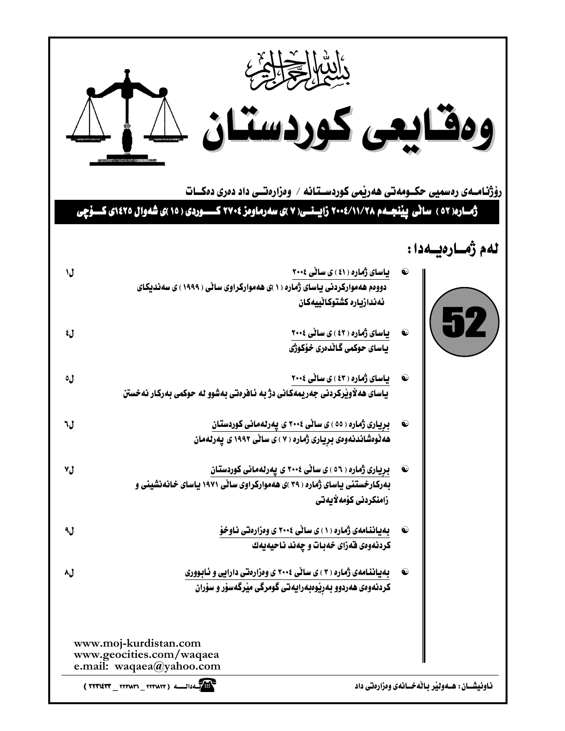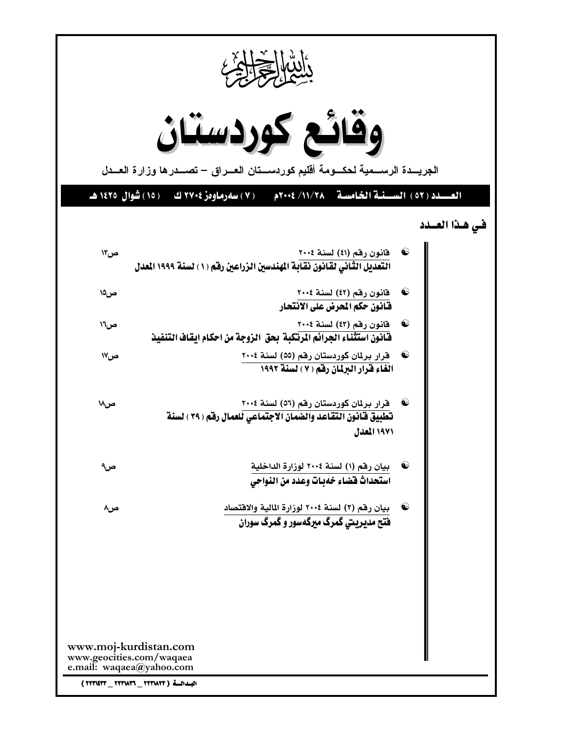| ألتها الحجابي                                                                 |                                                                                                                                              |  |  |  |  |
|-------------------------------------------------------------------------------|----------------------------------------------------------------------------------------------------------------------------------------------|--|--|--|--|
|                                                                               | وقائع كوردستان<br>الجريـــدة الرســـمية لحكـــومة أقليم كوردســـتان العـــراق – تصـــدرها وزارة العـــدل                                     |  |  |  |  |
|                                                                               | العسيلد (٥٢) السَّينية الخامسية - ٢٠٠١/١٠/ ٢٠٠٤م<br>( ۷ ) سەرماوەز ۲۷۰٤ كې ( ۱۵ ) شوال ۱٤۲٥ هـ                                               |  |  |  |  |
|                                                                               | في هذا العسدد                                                                                                                                |  |  |  |  |
| ص۱۳                                                                           | قانون رقم (٤١) لسنة ٢٠٠٤<br>التعديل الثَّاني لقانون نقابة المهندسين الزراعين رفقم ( ١ ) لسنة ١٩٩٩ المعدل                                     |  |  |  |  |
| ص۵\                                                                           | $\mathbf{\Theta}$<br>قانون رقم (٤٢) لسنة ٢٠٠٤<br>فَّانون حكم المعرض على الانتحار                                                             |  |  |  |  |
| ص٦٦                                                                           | $\bf{Q}$<br>فانون رقم (٤٣) لسنة ٢٠٠٤<br>فَـْانُونَ اسْتَثْنَاءِ الجِرائِمِ الْمِرْتَكِبِةَ بِحقِّ الزَوِجِةِ مِنْ احكامِ ايقَافُ التَّنفِيدُ |  |  |  |  |
| ص۱۷                                                                           | قرار برلمان كوردستان رقم (٥٥) لسنة ٢٠٠٤<br>$\bf \omega$<br>الغاء فرار البرلمان رفق (٧) لسنة ١٩٩٢                                             |  |  |  |  |
| ص۱۸                                                                           | قرار برلمان كوردستان رقم (٥٦) لسنة ٢٠٠٤<br>$\bullet$<br>تطبيق فانون التقاعد والضمان الاجتماعي للعمال رفم ( ٣٩ ) لسنة<br>١٩٧١ المدل           |  |  |  |  |
| ص۹                                                                            | 60<br>بيان رقم (١) لسنة ٢٠٠٤ لوزارة الداخلية<br>استحداث فضاء خهبات وعدد من النواحي                                                           |  |  |  |  |
| ص۸                                                                            | $\bf \bf \Theta$<br>بيان رقم (٢) لسنة ٢٠٠٤ لوزارة المالية والاقتصاد<br>فتح مدیریتی گمرگ میرگهسور و گمرگ سوران                                |  |  |  |  |
|                                                                               |                                                                                                                                              |  |  |  |  |
|                                                                               |                                                                                                                                              |  |  |  |  |
|                                                                               |                                                                                                                                              |  |  |  |  |
| www.moj-kurdistan.com<br>www.geocities.com/waqaea<br>e.mail: waqaea@yahoo.com |                                                                                                                                              |  |  |  |  |
| البدائة ( ٢٢٣١٨٢٦ _ ٢٢٣١٤٣٣ _ ٣٢٣١٤٣٣ )                                       |                                                                                                                                              |  |  |  |  |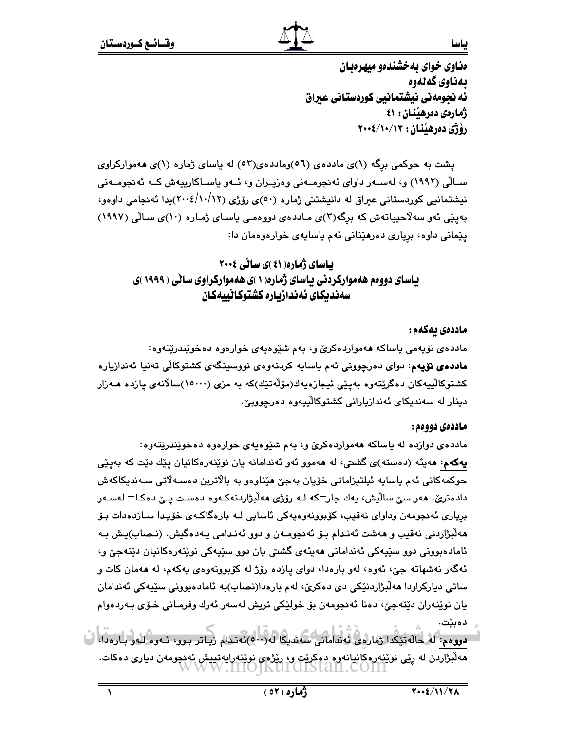ەناوي خواي ىەخشندەو مېھرەىين بەناوي گەلەوە ئه نحومهني نيشتمانيي كوردستاني عبراق ژمارەي دەرھىنان: ٤١ رۆژى دەرھېنان : ١٣/١٠/١٠/٢٠٠٤

پشت به حوکمی برگه (۱)ی ماددهی (۵٦)وماددهی(٥٢) له پاسای ژماره (۱)ی ههموارکراوی ســالّی (۱۹۹۲) و، لەســەر داوای ئەنجومــەنی وەزپــران و، ئــەو پاســاکارپیەش کــە ئەنجومــەنی نیشتمانیی کوردستانی عیراق له دانیشتنی ژماره (٥٠)ی رۆژی (١٠/١٢/١٤/٢٠٠٤)يدا ئەنجامی داوەو، بەينى ئەو سەلاّحيياتەش كە برگە(٣)ى مـاددەي دووەمـى ياسـاي ژمـارە (١٠)ى سـالّى (١٩٩٧) يێماني داوه، برياري دەرھێناني ئەم ياسايەي خوارەوەمان دا:

**پاسای ژماره( ٤١ )ی سائی ٢٠٠٤** یاسای دووهم ههموارکردنی یاسای ژماره( ۱ )ی ههموارکراوی سانی ( ۱۹۹۹ )ی سەندىكاي ئەندازيارە كشتوكاڻييەكان

### ماددەى يەكەم :

مادده ی نۆپەمى ياساكە ھەمواردەكرێ و، بەم شێوەپەی خوارەوە دەخوێندرێتەوە: م**اددەی نۆيە**م: دوای دەرچوونى ئەم ياسايە كردنەوەی نووسپنگەی كشتوكالى تەنيا ئەندازيارە كشتوكالييەكان دەگرێتەوە بەيێى ئىجازەيەك(مۆڵەتێك)كە بە مزى (١٥٠٠٠)سالآنەي يازدە ھـەزار دينار له سەنديكاي ئەندازيارانى كشتوكالييەوە دەرجوويىّ.

#### ماددەي دووەم :

مادده ی دوازده له پاساکه ههمواردهکری و، بهم شێوهیهی خوارهوه دهخوێندرێتهوه: پهکهم: مەيئه (دەستە)ى گشتى، له مەمور ئەو ئەندامانە يان نوێنەرەکانيان يێك دێت كە بەيێى حوکمەکانی ئەم ياسايە ئېلتېزاماتی خۆيان بەجىّ ھێناوەو بە بالاترين دەسـەلاتى سـەندىكاكەش دادەنرێ. ھەر سێ ساڵيش، پەك جار<sup>ـــ</sup>كە لــە رۆژى ھەڵبژاردنەكــەوە دەسـت يــێ دەكـا<sup>ـــ</sup> لەســەر برياري ئەنجومەن وداواي نەقىب، كۆبوونەوەپەكى ئاسايى لـە بارەگاكـەي خۆپـدا سـازدەدات بـۆ هەلْبِرْاردنى نەقيب و ھەشت ئەنـدام بـۆ ئەنجومـەن و دوو ئەنـدامى يـەدەگيش. (نـصاب)يـش بـە ئامادەبوونى دوو سێپەكى ئەندامانى ھەيئەي گشتى يان دوو سێپەكى نوێنەرەكانيان دێنەجێ و، ئەگەر نەشھاتە جىّ، ئەوە، لەو بارەدا، دواى يازدە رۆژ لە كۆبورنەوەى يەكەم، لە ھەمان كات و ساتي ديارکراودا هەلْبژاردنێکي دی دەکرێ، لەم بارەدا(نصاب)بە ئامادەبوونى سێيەکى ئەندامان يان نوپنەران دێتەجى، دەنا ئەنجومەن بۆ خولێكى تريش لەسەر ئەرك وفرمـانى خـۆي بـەردەوام دەبێت.

دووهم: لَهُ حَالَهَ يَيْكَدا رَمَارِهِي تَهْدَامَانِي سَهَدُبِكَا لَه(٥٠٠)ئَهندام رَيّاتر بوو، ئەوه لَه و بارەدا، هەلىژاردن لە رپى نويندرەكانيانەوە دەكرىت و، ريزەي نويندرايەتىيش ئەنجومەن ديارى دەكات.<br>WWW .IIIO||KUIGISTAII.COIII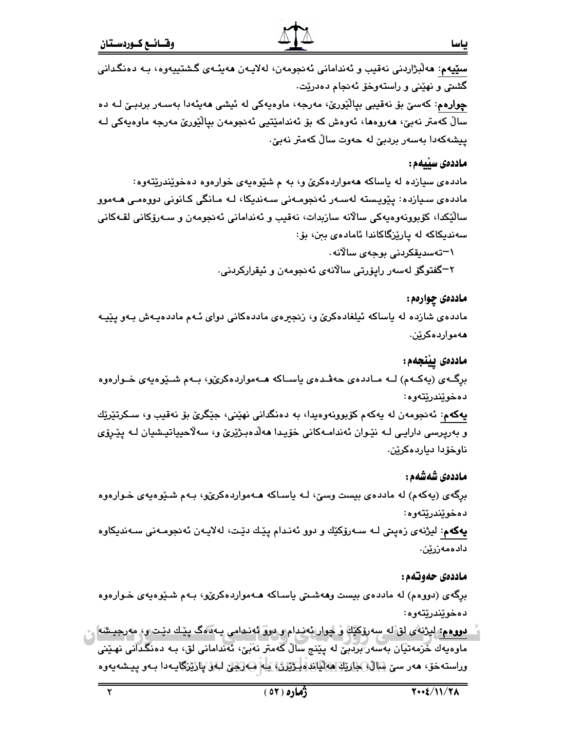**سٽيهم**: ھەلْبژاردنى نەقىب و ئەندامانى ئەنجومەن، لەلايـەن ھەيئـەى گىشتىيەوە، بـە دەنگـدانى گشتی و نهێنی و راستهوخۆ ئەنجام دەدرێت٠ چوارەم: كەسىّ بۆ نەقيبى بيالْيُورىؒ، مەرجە، ماوەپەكى لە ئيشى ھەيئەدا بەسـەر بردېـێ لـﻪ دە

سالٌ کەمتر نەبیؒ، ھەروەھا، ئەوەش کە بۆ ئەندامێتیی ئەنجومەن بیالٚێورێ مەرجە ماوەپەکی لـﻪ پیشەكەدا بەسەر بردبێ لە حەوت سالٌ كەمتر نەبێ٠

### ماددەى سىيەم :

مادده ی سیازده له یاساکه ههمواردهکری و، به م شیوهیهی خوارهوه دهخویندریتهوه: ماددەی سىيازدە: يێويستە لەسـەر ئەنجومـەنى سـەندىكا، لـە مـانگى كـانونى دووەمـى ھـەموو سالێکدا، کۆبوونەوەپەکى سالانە سازبدات، نەقيب و ئەندامانى ئەنجومەن و سـەرۆکانى لقـەکانى سەندىكاكە لە يارێزگاكاندا ئامادەي بىن، بۆ:

\—تەسدېقكردنى بوجە*ي* سالانە.

۲−گفتوگۆ لەسەر راپۆرتى سالانەى ئەنجومەن و ئىقراركردنى.

### ماددهۍ چوارهم:

ماددەی شازدە لە پاساكە ئېلغادەكرىّ و، زنجیرەی ماددەكانى دوای ئـهم ماددەپـەش بـەو پێپـە ههموارده کرێن.

### ماددەى يېنجەم:

برگەی (پەكـەم) لــه مــاددەی حەڤـدەی ياســاكە ھــەمواردەكرىّو، بــەم شــێوەيەی خــوارەوە دەخوێندرێتەوە:

**يهکهم**: ئەنجومەن لە يەکەم کۆبوونەوەيدا، بە دەنگدانى نهێنى، جێگرێ بۆ نەقيب و، سـکرتێرێك و بەرپرسى دارايـى لـﻪ نێـوان ئەندامـﻪكانى خۆيـدا ھەلّدەبـژێرێ و، سەلاّحىياتيـشيان لـﻪ يێـرۆي ناوخۆدا دياردەكرێن.

### ماددەى شەشەم :

برگهی (پهکهم) له ماددهی بیست وسیّ، لـه یاسـاکه هــهمواردهکریّو، بـهم شـێوهیهی خـوارهوه دەخوێندرێتەوە:

پهکهم: لیژنهی زەپتی لـه سـهرۆکێك و دوو ئەنـدام پێـك دێـت، لەلايـەن ئەنجومـەنى سـەنديكاوە دادەمەزرێن.

### ماددەي حەوتەم:

برگهی (دووهم) له ماددهی بیست وههشتی یاساکه هـهمواردهکریّو، بـهم شـێوهیهی خـوارهوه دەخوێندرێتەوە:

دووهم: ليژنهٔی لق ُله سِهروکَيْكَ وْ چوار ئەندام و دووْ ئەندامی يـه دەگ پيّك دينت و، مەرجيشە م ماوەيەك خزمەتيان بەسەر بردېنى لە پێنج سالٌ كەمتر نەبى، ئەندامانى لق، بـە دەنگدانى نھێنى وراستەخۆ، ھەر سىن <u>سالەپ ئارنان ھەلپاتە نىڭترن، يى</u>لم ھەركىن لىلىق پارتىزگايـەدا بـەر پـيـشەيەرە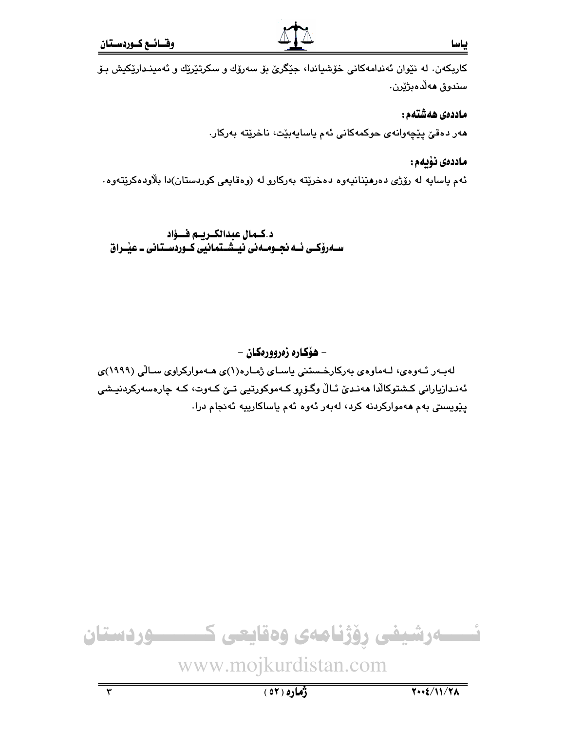#### ماددەى ھەشتەم:

مەر دەقىٰ پێچەوانەي حوكمەكانى ئەم ياسايەبێت، ناخرێتە بەركار.

### ماددەى نۆيەم :

ئهم ياسايه له رۆژى دەرھێنانيەوە دەخرێتە بەركارو لە (وەقايعى كوردستان)دا بلاودەكرێتەوە.

د کـمال عبدالکـریـم فــؤاد<br>ســهرۆکــی ئــه نجــومــهنی نیــشــتمانیی کــوردســتانی ــ عیـْــراق



ياسا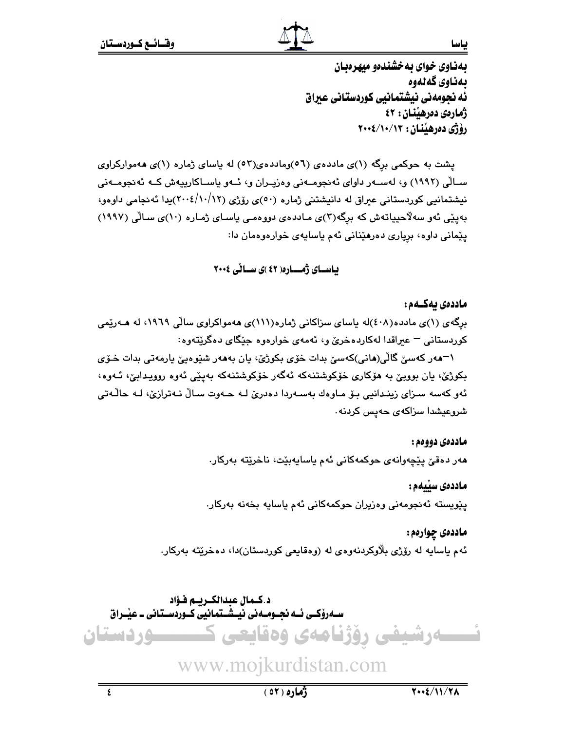بهناوي خواي بهخشندهو مبهرهبان بەناوي گەنەوە ئه نحومهني نيشتمانيي كوردستاني عبراق ژمارەي دەرھىنان: ٤٢ رۆژى دەرھېنان : ١٣/١٠/١٠/٢٠٠٤

پشت به حوکمی برگه (۱)ی ماددهی (۵٦)وماددهی(۵۲) له پاسای ژماره (۱)ی ههموارکراوی ســالّی (۱۹۹۲) و، لهســهر داوای ئهنجومــهنی وهزیــران و، ئــهو پاســاکاریپهش کــه ئهنجومــهنی نیشتمانیی کوردستانی عیراق له دانیشتنی ژماره (٥٠)ی رۆژی (١٠/١٢/١٤/٢٠٠٤)يدا ئەنجامی داوەو، بهپێی ئهو سهلاحییاتهش که برگه(۳)ی ماددهی دووهمی یاسای ژماره (۱۰)ی سالّی (۱۹۹۷) يێماني داوه، برياري دەرھێناني ئەم ياسايەي خوارەوەمان دا:

### باسای ژمـاره( ٤٢)ی سالی ٢٠٠٤

#### ماددەى بەكــەم :

برگەی (۱)ی ماددە(٤٠٨)له ياسای سزاکانی ژمارە(١١١)ی هەمواکراوی سالّی ١٩٦٩، له هـەرێمی کوردستانی – عبراقدا لهکاردهخریّ و، ئهمهی خوارهوه جێگای دهگرێتهوه:

١–ﻫﻪﺭ ﮐﻪﺳﻲّ ﮔﺎﻟّﻲ(ﻫﺎﻧﻲ)ﮐﻪﺳﻲّ ﺑﺪﺍﺕ ﺧﯚﻱ ﺑﮑﻮﮊﻱّ، ﭘﺎﻥ ﺑﻪﻫﻪﺭ ﺷﯚﻭﻩﻳﻲّ ﭘﺎﺭﻣﻪﺗﻲ ﺑﺪﺍﺕ ﺧـﯚﻱ بکوژێ، پان بوويێ به هۆکاری خۆکوشتنهکه ئهگەر خۆکوشتنهکه بەيێى ئەوە روويدايێ، ئـەوە، ئەو كەسە سىزاي زينىدانيى بۆ مـاوەك بەسـەردا دەدرێ لـە ھـەوت سـالٌ نـەترازێ، لـە ھاڵـەتى شروعیشدا سزاکهی حهیس کردنه۰

#### ماددەي دووەم :

مەر دەقىٰ يێچەوانەي حوكمەكانى ئەم ياسايەبێت، ناخرێتە بەركار.

#### ماددەى سىيەم :

يێويسته ئەنجومەنى وەزيران حوكمەكانى ئەم ياسايە بخەنە بەركار.

#### ماددهي چوارهم:

ئهم ياسايه له رۆژي بلاوكردنەوەي له (وەقايعى كوردستان)دا، دەخرێتە بەركار.

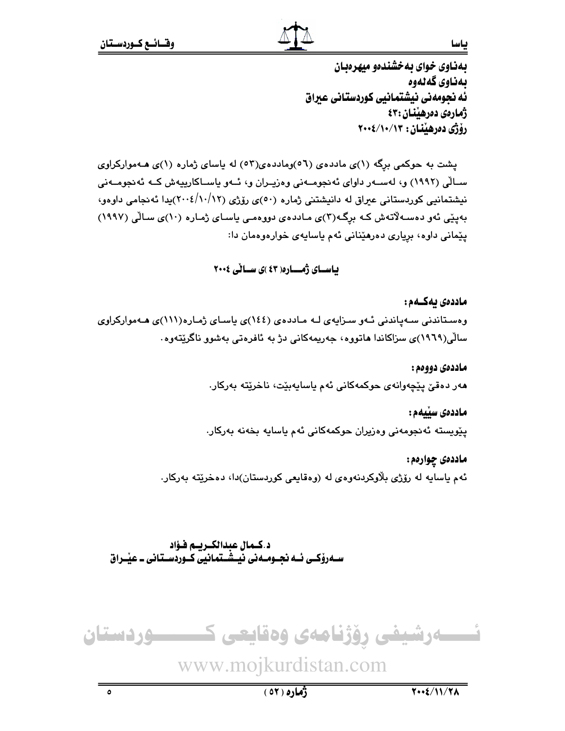بهناوي خواي بهخشندهو مبهرهبان بەناوي گەنەوە ئه نجومهني نيشتمانيي كوردستاني عيراق ژمارەي دەرھىنان:٤٣ رۆژى دەرھېنان : ١٣/١٠/١٠/٢٠٠٤

ياسا

پشت به حوکمی برگه (۱)ی ماددهی (۵٦)وماددهی(٥٢) له یاسای ژماره (۱)ی هـهموارکراوی ســالّی (۱۹۹۲) و، لهســهر داوای ئهنجومــهنی وهزیــران و، ئــهو پاســاکاریپهش کــه ئهنجومــهنی نیشتمانیی کوردستانی عیراق له دانیشتنی ژماره (٥٠)ی رۆژی (١٠/١٢/١٣)يدا ئهنجامی داوهو، بهپێی ئەو دەسـﻪلاتەش کـﻪ بڕگـﻪ(٣)ى مـاددەى دووەمـى ياسـاى ژمـارە (١٠)ى سـالّى (١٩٩٧) يێماني داوه، برياري دەرھێناني ئەم ياسايەي خوارەوەمان دا:

### باسای ژمـاره( ٤٣)ی سالی ٢٠٠٤

ماددەى ئەكــەم: وهستاندنی سهپاندنی ئـهو سـزایهی لـه مـاددهی (١٤٤)ی یاسـای ژمـاره(١١١)ی هـهموارکراوی سالٌی(۱۹۲۹)ی سزاکاندا هاتوره، جەریمەکانی دژ بە ئافرەتی بەشور ناگریتەوە.

> ماددەي دووەم : مەر دەقىٰ پێچەوانەي حوكمەكانى ئەم ياسايەبێت، ناخرێتە بەركار.

ماددەى سىيەم : پێويسته ئەنجومەنى وەزيران حوكمەكانى ئەم ياسايە بخەنە بەركار.

ماددهي چوارهم: ئهم ياسايه له رۆژى بلاوكردنەوەي لە (وەقايعى كوردستان)دا، دەخريتە بەركار.

د.كـمال عبدالكـريـم فـؤاد ســهروْکــی ئــه نجــومــه نی شـــْتمـانیی کــوردســتـانی ــ عیـْــراق

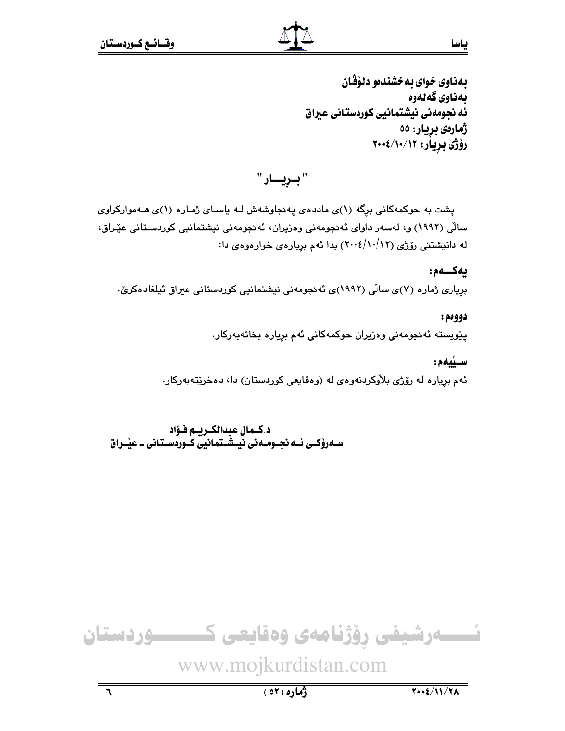بهناوي خواي به خشندهو دنوْقْـان ىمناوى گەنەوە ئه نحومهني نيشتمانيي كوردستاني عبراق ژمارەي بريار: ٥٥ رۆژى بريار: ١٢/١٠/١٠>٢٠٠

" بېږيسار "

یشت به حوکمهکانی برگه (۱)ی ماددهی یه نجاوشهش لـه یاسـای ژمـاره (۱)ی هـهموارکراوی سالی (۱۹۹۲) و، لەسەر داوای ئەنجومەنی وەزیران، ئەنجومەنی نیشتمانیی کوردسىتانی عێراق، له دانیشتنی رۆژی (۱۲/۱۲/)۲۰۰۶) بدا ئهم بریارهی خوارهوهی دا:

#### يەكــەم:

بریاری ژماره (۷)ی سالّی (۱۹۹۲)ی ئەنجومەنی نیشتمانیی کوردستانی عیراق ئیلغادەکریّ.

دووهم:

پێویسته ئەنجومەنى وەزیران حوکمەکانى ئەم بریارە بخاتەبەرکار.

ستنمم:

ئهم برياره له رۆژى بلاْوكردنهوەي له (وەقايعى كوردستان) دا، دەخرێتەبەركار.

د.كـمال عبدالكـريـم فـؤاد سـهروْکــی ئــه نجــومــه نی نیـِـشـَــتمـانیـی کــوردّســتـانی ــ عیـْــراق



ياسا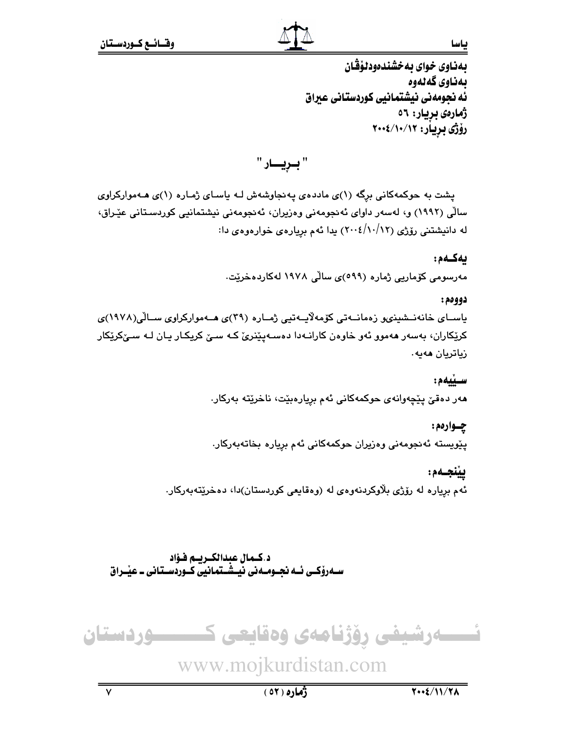ياسا

بهناوي خواي بهخشندهودلوْڤان بەناوي گەلەوە ئه نجومهنی نیشتمانیی کوردستانی عیراق ژمارەي بريار: ٥٦ رۆژى بريار: ۲۰۰۲/۱۰/۱۲

" بـريـــار "

پشت به حوکمهکانی برگه (۱)ی ماددهی پهنجاوشهش لـه پاسـای ژمـاره (۱)ی هـهموارکراوی سالی (۱۹۹۲) و، لەسەر داوای ئەنجومەنی وەزیران، ئەنجومەنی نیشتمانیی کوردسىتانی عێراق، له دانیشتنی رۆژی (۱۲/۱۲/ ۲۰۰٤) بدا ئهم بړیارهی خوارهوهی دا:

### ىەكـەم:

مەرسومى كۆمارىي ژمارە (٥٩٩)ى سالّى ١٩٧٨ لەكاردەخرێت.

#### دووهم:

باسـای خانەنــشىنىمو زەمانــەتى كۆمەلايــەتيى ژمــارە (۳۹)ى ھــەمواركراوى ســالْي(۱۹۷۸)ى کرێِکاران، بهسهر ههموو ئهو خاوهن کارانـهدا دهسـهپێنرێ کـه سـێ کریِکـار یـان لـه سـێکرێِکار زیاتریان مەيە،

### ستغمع

هەر دەقىّ پێچەوانەي حوكمەكانى ئەم برِيارەبێت، ناخرێتە بەركار.

### چـوارهم:

پێویسته ئەنجومەنى وەزیران حوکمەکانى ئەم بریارە بخاتەبەرکار.

### ييْنجـەم:

ئهم برياره له رۆژي بلاوكردنهوهي له (وهقايعي كوردستان)دا، دهخريتهبەركار.

د.كـمال عبدالكـريـم فـؤاد سـهروْکــی ئــه نجــومــه نی نّیــِـشــتمانیّی کــوردّســتـانی ــ عیـّــراق

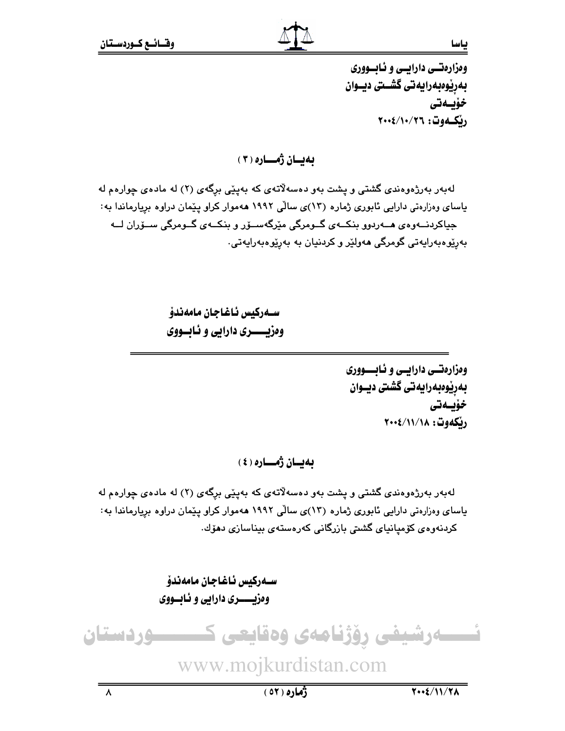وهزارهتسي دارايسي و ئـابسووري بەرپوەبەرايەتى گشىتى ديــوان خۆيىدتى رنكــەوت: ٢٠٠٤/١٠/٢٦

ياسا

بەيسان ژەسسارە ( ۳ )

لهبهر بهرژهوهندی گشتی و پشت بهو دهسهلاتهی که بهینی برگهی (۲) له مادهی چوارهم له یاسای وهزارهتی دارایی ئابوری ژماره (۱۳)ی سالی ۱۹۹۲ ههموار کراو پیمان دراوه بریارماندا به: جياکردنـــهوهي هـــهردوو بنکــهي گــومرگي مێرگهســۆر و بنکــهي گــومرگي ســۆران لـــه بەرپوەبەرايەتى گومرگى ھەولپر و كردنيان بە بەرپوەبەرايەتى.

> سـەركىس ئاغاجان مامەندۆ وهزيـــــري دارايي و ئـابــووي

> > وهزارهتسي دارايسي و نـابــــووري بەرێوەبەرايەتى گشتى ديــوان خۆيىدتى رنكەوت: ١١/١٨/١٤

ىەيسان ژەسسارە ( ٤ )

لهبهر بهرژهوهندی گشتی و یشت بهو دهسهلاتهی که بهینی برگهی (۲) له مادهی چوارهم له یاسای وهزارهتی دارایی ئابوری ژماره (۱۳)ی سالی ۱۹۹۲ ههموار کراو پیمان دراوه بریارماندا به: كردنەوەي كۆميانياي گشتى بازرگانى كەرەستەي بېناسازى دھۆك.

> سـەركيس ئـاغـاجـان مـامەندۆ وهزيــــــري دارايي و ئــابـــووي

نسسمارشیفی رؤژنامەی وەقايعی ک ــــوردستان www.mojkurdistan.com

 $\overline{\lambda}$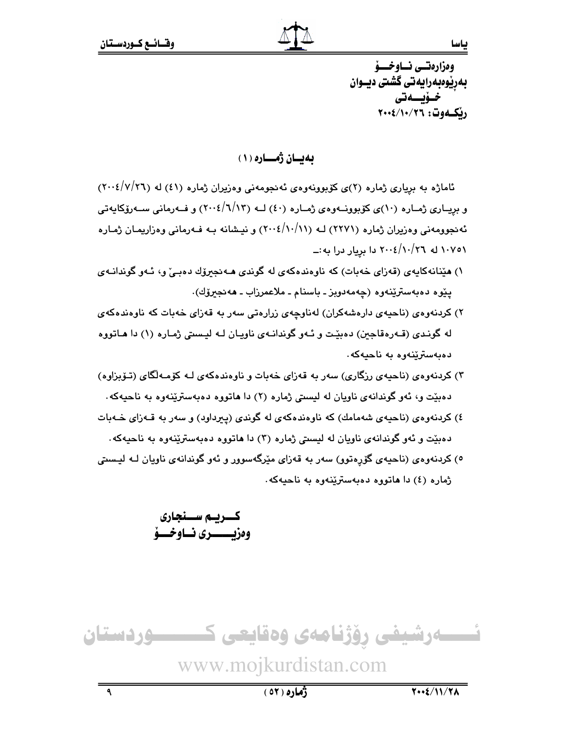وەزارەتسى نساوخسىۋ بەرێوەبەرايەتى گشتى ديــوان خىۆيىمتى رنكموت: ٢٠٠٤/١٠/٢٦

بەيسان ژەسسارە ( ۱ )

ئاماژه به بریاری ژماره (۲)ی کوبوونهوهی ئه نجومهنی وهزیران ژماره (٤١) له (٢٠٠٤/٧/٢٦) و بریــاری ژمــاره (۱۰)ی کۆبوونـــهوهی ژمــاره (٤٠) لـــه (۱۲/۱۲)۲) و فــهرمانی ســهرۆکاپـهتی ئه نجوومه نی وه زیران ژماره (۲۲۷۱) لـه (۱۰/۱۰/۱۱) و نیشانه بـه فـه رمانی وه زاریمـان ژمـاره ۰/۰/۱۰ له ۲۰۰۱/۱۰/۲۲ دا بریار درا به :ــ

- ۱) مێنانهکایهی (قەزای خەبات) کە ناوەندەکەی لە گوندی مەنجىرۆك دەبى و، ئـەو گوندانـەی يێوه دهبهسترێنهوه (چهمهدويز ـ باسنام ـ ملاعمرزاب ـ ههنجىرۆك).
- ۲) کردنهوهی (ناحیهی دارهشهکران) لهناوجهی زرارهتی سهر به قهزای خهبات که ناوهندهکهی له گوندي (قـهرهقاجين) دهييّت و ئـهو گوندانـهي ناويـان لـه ليـستي ژمـاره (۱) دا هـاتووه دەبەسترىينەوە بە ناھيەكە.
- ۳) کردنهوهی (ناحیهی رزگاری) سهر به قهزای خهبات و ناوهندهکهی لـه کۆمـهلّگای (تـۆبزاوه) دهبيّت و، ئهو گوندانهي ناويان له ليستي ژماره (٢) دا هاتووه دهبهستريّنهوه به ناحيهكه.
- ٤) کردنهوهي (ناحیهي شهمامك) که ناوهندهکهي له گوندي (پېرداود) و سهر به قـهزاي خـهبات دهبيّت و ئهو گوندانهي ناويان له ليستي ژماره (٣) دا هاتووه دهبهستريّنهوه به ناحيهكه.
- ٥) کردنهوهي (ناحیهي گۆرەتوو) سەر بە قەزاي مێرگەسوور و ئەو گوندانەي ناويان لـه لیـستې ژماره (٤) دا هاتووه دهبهستریندوه به ناحیهکه.

كسريسم سسنجارى وهزيسيسيري نساوخيسة



 $\overline{\mathbf{a}}$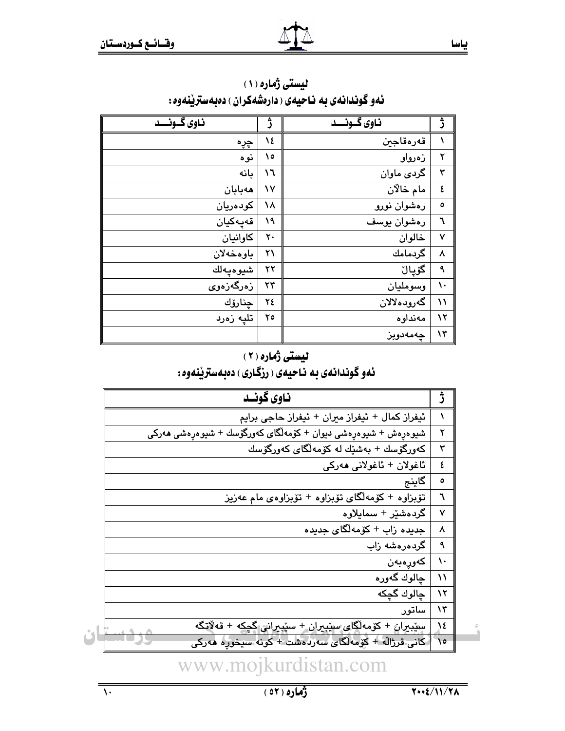| ناوي گـونــد      | ژ            | ناوی گـونــد | ژ         |
|-------------------|--------------|--------------|-----------|
| چڕە               | ١٤           | قەرەقاجىن    |           |
| نوه               | ۱٥           | زەرواو       | ۲         |
| ىانە              | ۱٦           | گردی ماوان   | ٣         |
| هەبابان           | $\mathsf{v}$ | مام خالان    | ٤         |
| كودەريان          | ١٨           | رەشوان نورو  | ٥         |
| قەيەكيان          | ١٩           | رەشوان يوسف  | ٦         |
| كاوانيان          | ٢٠           | خالوان       | ٧         |
| باوهخهلان         | ۲۱           | گردمامك      | ٨         |
| شيوەيەلك          | ۲۲           | گۆيال        | ٩         |
| زەرگەزەو <i>ى</i> | $\mathbf{r}$ | وسومليان     | ١.        |
| ڇنارۆك            | ٢٤           | گەرودەلالان  | ۱۱        |
| تليه زەرد         | ٢٥           | مەنداوە      | $\lambda$ |
|                   |              | چەمەدوبز     | ۱۳        |

لیستی ژماره (١) نهو گوندانهی به ناحیهی ( دارهشهکران ) دهبهستریننهوه :

### لیستی ژماره (۲)

## ئهو گوندانهی به ناحیهی ( رزگاری ) دهبهسترینهوه :

| ناوي گونـد                                                        |               |  |
|-------------------------------------------------------------------|---------------|--|
| ئيفراز كمال + ئيفراز ميران + ئيفراز حاجي برايم                    | ١             |  |
| شىيوەرەش + شىيوەرەشى دىيوان + كۆمەلگاى كەورگۆسك + شىيوەرەشى ھەركى | ۲             |  |
| كەورگۆسك + بەشێك لە كۆمەلگاي كەورگۆسك                             | ٣             |  |
| ئاغولان + ئاغولانى ھەركى                                          | ٤             |  |
| گاينج                                                             | ٥             |  |
| تۆبزاوه + كۆمەلگاي تۆبزاوه + تۆبزاوەي مام عەزيز                   | ٦             |  |
| گردەشێر + سمايلاوە                                                | ٧             |  |
| جدیده زاب + کۆمەلگای جدیده                                        | ٨             |  |
| گردەرەشە زاب                                                      | ٩             |  |
| كەورەبەن                                                          | $\mathcal{L}$ |  |
| جالوك گەورە                                                       | ۱۱            |  |
| چالوك گچكه                                                        | $\lambda$     |  |
| ساتور                                                             | ۱۳            |  |
| ستبيران + کۆمەلگای ستبيران + ستبيراني گچکە + قەلاتگە              | $\lambda$     |  |
| كانى قرژاله + كۆمەلگا <i>ى س</i> ەردەشت + كونە سىخورە مەركى       | ١٥            |  |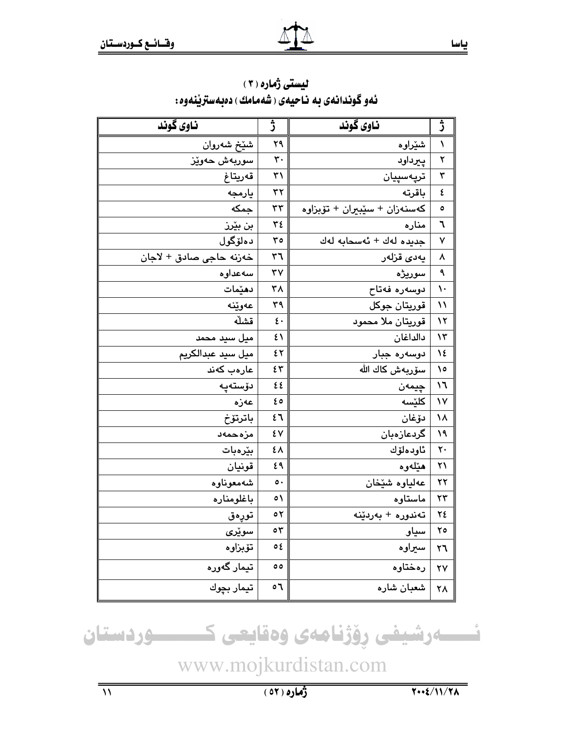| ناوي گوند               | ڑ              | ناوي گوند                    | ڗ             |
|-------------------------|----------------|------------------------------|---------------|
| شێڂ شەروان              | ۲۹             | شێراوه                       | ١             |
| سوربەش حەوێز            | $\mathbf{r}$ . | پیرداود                      | ٢             |
| قەريتاغ                 | $\uparrow$     | ترپەسپيان                    | ٣             |
| يارمجه                  | ٣٢             | باقرته                       | ٤             |
| جمكه                    | $\tau\tau$     | كەسنەزان + سێبيران + تۆبزاوە | ٥             |
| بن بێرز                 | ۳٤             | مناره                        | ٦             |
| دەلۆگول                 | ٣٥             | جديده لهك + ئەسحابە لەك      | ٧             |
| خەزنە حاجى صادق + لاجان | ٣٦             | يەد <i>ى</i> قزلەر           | ٨             |
| سەعداوە                 | ٣٧             | سوريژه                       | ٩             |
| دهێمات                  | ٣٨             | دوسەرە فەتاح                 | $\mathcal{L}$ |
| عەوێنە                  | ٣٩             | قوريتان جوكل                 | $\mathcal{N}$ |
| قشلّه                   | $\epsilon$ .   | قوريتان ملا محمود            | ۱۲            |
| ميل سيد محمد            | ٤١             | دالداغان                     | $\lambda$ ۳   |
| ميل سيد عبدالكريم       | ٤٢             | دوسەرە جبار                  | 1٤            |
| عارەب كەند              | ٤٣             | سۆربەش كاك اللە              | ۰۱            |
| دۆستەيە                 | ٤٤             | چيمەن                        | ۱٦            |
| عەزە                    | ه ع            | كلێسه                        | ١٧            |
| باترتۆخ                 | ٤٦             | دۆغان                        | ۱۸            |
| مزهحمهد                 | ٤V             | گردعازەبان                   | ١٩            |
| بێرەبات                 | ٤٨             | ئاودەلۆك                     | ٢٠            |
| قونيان                  | ٤٩             | هێلەوە                       | ٢١            |
| شەمعوناوە               | $\circ \cdot$  | عەلياوە شێخان                | ۲۲            |
| باغلومناره              | $\circ$        | ماستاوه                      | ۲۳            |
| تورەق                   | ٥٢             | تەندورە + بەردێنە            | ٢٤            |
| سوێر <i>ی</i>           | ٥٣             | سياو                         | ۲٥            |
| تۆبزاوە                 | ٥٤             | سيراوه                       | ٢٦            |
| تيمار گەورە             | $\circ$        | رەختاوە                      | ۲۷            |
| تيمار بچوك              | ٥٦             | شعبان شاره                   | ۲۸            |

لیستی ژماره (۲) ئەو گوندانەي بە ناجيەي (شەمامك) دەبەسترێنەوە:

نسسه رشيفى رِوْژنامەى وەقايعى كىسسسوردستان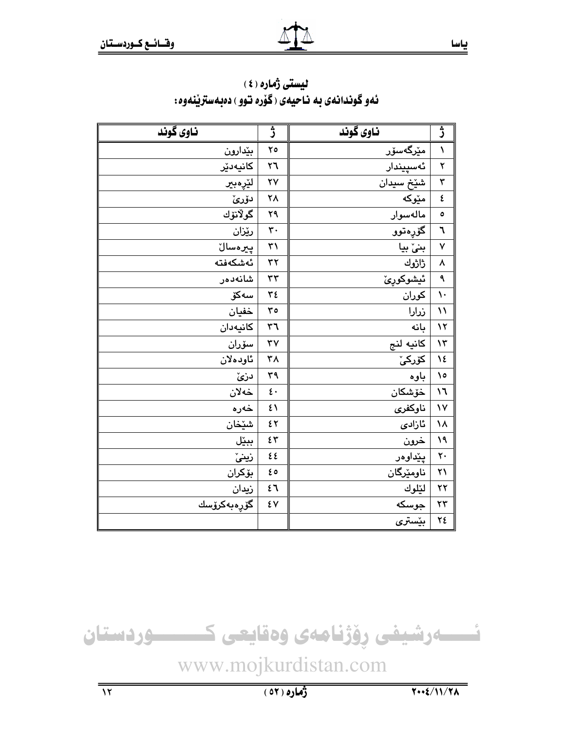| ناوی گوند   | ئب                      | ناوی گوند | ڎ                       |
|-------------|-------------------------|-----------|-------------------------|
| بێدارون     | ٢٥                      | مێرگەسۆر  | $\blacklozenge$         |
| كانيەدێر    | ٢٦                      | ئەسپيندار | $\overline{\mathbf{y}}$ |
| لێڕەبىر     | $\mathsf{Y}\mathsf{V}$  | شێڂ سیدان | ٣                       |
| دۆرئ        | ٢٨                      | مێۅؼه     | ٤                       |
| گولانۆك     | ۲۹                      | مالەسوار  | $\circ$                 |
| رێزان       | $\mathbf{\dot{r}}\cdot$ | گۆرەتوو   | ٦                       |
| پىرەسالٚ    | ٣١                      | بنیٰ بیا  | ٧                       |
| ئەشكەڧتە    | $\tau\tau$              | ڑاڑوك     | ٨                       |
| شانەدەر     | $\tau\tau$              | ئيشوكورئ  | ٩                       |
| سەكۆ        | ٣٤                      | کوران     | $\mathcal{L}$           |
| خفيان       | ro                      | زرارا     | $\mathcal{N}$           |
| كانيەدان    | $\tau$ ٦                | بانه      | $\lambda$               |
| سۆران       | $\mathbf{y}$            | كانيه لنج | $\mathcal{N}$           |
| ئاودەلان    | ٣٨                      | كۆركىّ    | 12                      |
| دزئ         | ٣٩                      | باوه      | ۱٥                      |
| خەلان       | $\epsilon$ .            | خۆشكان    | $\mathcal{L}$           |
| خەرە        | ٤١                      | ناوكفرى   | $\mathsf{v}$            |
| شێڂان       | ٤٢                      | ئازادى    | ١٨                      |
| ببێل        | ٤٣                      | خرون      | ١٩                      |
| زينىّ       | ٤٤                      | يێداوەر   | $\mathsf{r}$ .          |
| بۆكران      | ه ع                     | ناومێرگان | $\mathsf{y}\mathsf{y}$  |
| زيدان       | ٤٦                      | لێلوك     | ۲۲                      |
| گۆرەبەكرۆسك | ٤V                      | جوسکه     | $\mathbf{r}$            |
|             |                         | بێستری    | ٢٤                      |

لیستی ژماره (٤) ئهو گوندانهى به ناحيهى (گۆرە توو ) دەبەستريندوه:



ياسا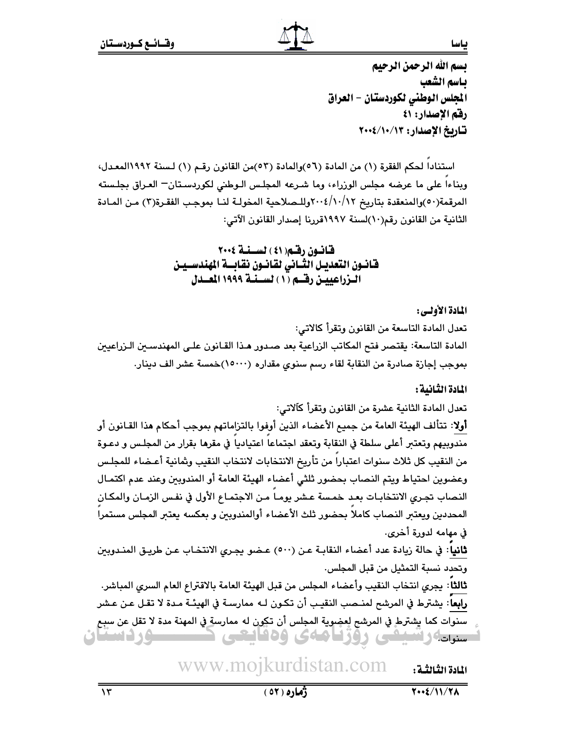ياسا

تسم الله الرحمن الرحيم ياسم الشعب المجلس الوطني لكوردستان - العراق رفق الإصدار: ٤١ تاريخ الإصدار: ١٢/١٠/١٠/٢٠٠٤

استنادا لحكم الفقرة (١) من المادة (٥٦)والمادة (٥٣)من القانون رقـم (١) لـسنة ١٩٩٢المعـدل، وبناءاً على ما عرضه مجلس الوزراء، وما شـرعه المجلـس الـوطني لكوردسـتان= العـراق بجلـسته المرقمة(٥٠)والمنعقدة بتاريخ ٢٠٠٤/١٠/١٢وللـصلاحية المخولـة لنـا بموجب الفقـرة(٣) مـن المـادة الثانية من القانون رقم(١٠)لسنة ١٩٩٧قررنا إصدار القانون الآتي:

> قانون رقم( ٤١ ) لسنة ٢٠٠٤ فانسون التعديـل الثــانى لقانسون نقابــة المهندســيـن الـزراعييـن رقـــم (١) لســـنــة ١٩٩٩ المـــدل

### المادة الأولى:

تعدل المادة التاسعة من القانون وتقرأ كالاتي: المادة التاسعة: يقتصر فتح المكاتب الزراعية بعد صدور هـذا القـانون علـى المهندسـين الـزراعيين بموجب إجازة صادرة من النقابة لقاء رسم سنوي مقداره (١٥٠٠٠)خمسة عشر الف دينار.

### المادة الثانية :

تعدل المادة الثانية عشرة من القانون وتقرأ كآلاتي:

**أولا**: تتألف الهيئة العامة من جميع الأعضاء الذين أوفوا بالتزاماتهم بموجب أحكام هذا القـانون أو مندوبيهم وتعتبر أعلى سلطة في النقابة وتعقد اجتماعا اعتياديا في مقرها بقرار من المجلس و دعـوة من النقيب كل ثلاث سنوات اعتبارا من تأريخ الانتخابات لانتخاب النقيب وشانية أعـضاء للمجلـس وعضوين احتياط ويتم النصاب بحضور ثلثي أعضاء الهيئة العامة أو المندوبين وعند عدم اكتمـال النصاب تجرى الانتخابـات بعـد خمـسة عـشر يومـا مـن الاجتمـاع الأول في نفـس الزمـان والمكـان المحددين ويعتبر النصاب كاملا بحضور ثلث الأعضاء أوالمندوبين و بعكسه يعتبر المجلس مستمرا في مهامه لدورة أخرى.

**ثاني**ا: في حالة زيادة عدد أعضاء النقابـة عـن (٥٠٠) عـضو يجـري الانتخـاب عـن طريـق المنـدوبين وتحدد نسبة التمثيل من قبل المجلس.

ثالثاً: يجرى انتخاب النقيب وأعضاء المجلس من قبل الهيئة العامة بالاقتراع العام السرى المباشر. رابعا: يشترط في المرشح لمنـصب النقيـب أن تكـون لـه ممارسـة في الهيئـة مـدة لا تقـل عـن عـشر سنوات كما يشترط في المرشح لعضوية المجلس أن تكون له ممارسة في المهنة مدة لا تقل عن سبح سنرداراسيللى زوزناماى ودفايتى تست **MELME SOLEN** 

#### www.mojkurdistan.com المادة الثالثية :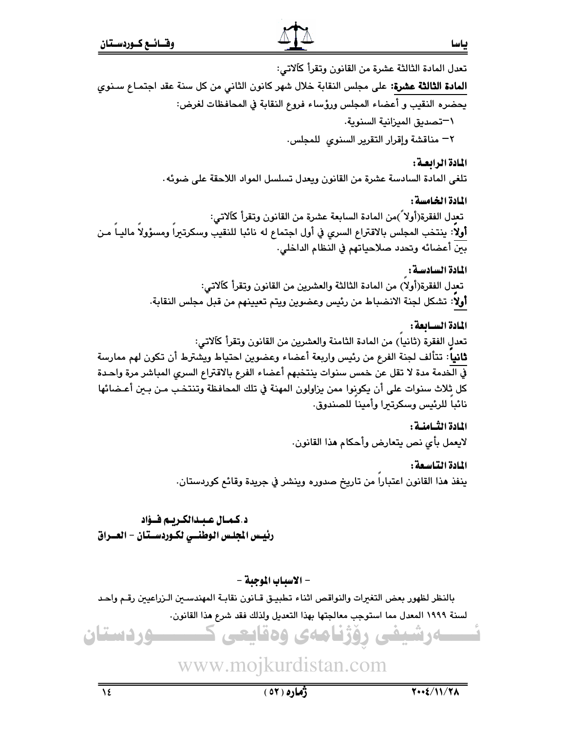ــــوردستان

 $\overline{\overline{\Sigma}}$ 

تعدل المادة الثالثة عشرة من القانون وتقرأ كآلاتي: **المادة الثالثة عشرة:** على مجلس النقابة خلال شهر كانون الثاني من كل سنة عقد اجتمـاع سـنوى يحضره النقيب و أعضاء المجلس ورؤساء فروع النقابة في المحافظات لغرض: \—تصديق الميزانية السنوية. ٢– مناقشة وإقرار التقرير السنوى للمجلس.

المادة الرابعة :

تلغي المادة السادسة عشرة من القانون ويعدل تسلسل المواد اللاحقة على ضوئه .

المادة الخامسة : تعدل الفقرة(أولاً )من المادة السابعة عشرة من القانون وتقرأ كآلاتي: أولا: ينتخب المجلس بالاقتراع السري في أول اجتماع له نائبا للنقيب وسكرتيرا ومسؤولا ماليـا مـن بين أعضائه وتحدد صلاحياتهم في النظام الداخلي.

> المادة السادسة : تعدل الفقرة(أولا) من المادة الثالثة والعشرين من القانون وتقرأ كآلاتي: أولا: تشكل لجنة الانضباط من رئيس وعضوين ويتم تعيينهم من قبل مجلس النقابة.

المادة السسابعة : تعدل الفقرة (ثانياً) من المادة الثامنة والعشرين من القانون وتقرأ كآلاتي: **ثانياً**: تتألف لجنة الفرع من رئيس واربعة أعضاء وعضوين احتياط ويشترط أن تكون لهم ممارسة في الخدمة مدة لا تقل عن خمس سنوات ينتخبهم أعضاء الفرع بالاقتراع السرى المباشر مرة واحدة كل ثلاث سنوات على أن يكونوا ممن يزاولون المهنة في تلك المحافظة وتنتخب مـن بـين أعـضائها نائبا للرئيس وسكرتبرا وأمينا للصندوق.

> المادة الثسامنسة : لايعمل بأي نص يتعارض وأحكام هذا القانون.

المادة التاسعة : ينفذ هذا القانون اعتبارا من تاريخ صدوره وينشر في جريدة وقائع كوردستان.

ـــار شىئى روزىامەي وەقانچى ك

د.كمـال عـبـدالكـريـم فــؤاد رئيس الجلس الوطنسى لكـوردسـتان – العــراق

- الاسباب الموجبة -

بالنظر لظهور بعض التغيرات والنواقص اثناء تطبيـق قـانون نقابـة المهندسـين الـزراعيين رقـم واحـد لسنة ١٩٩٩ المعدل مما استوجب معالجتها بهذا التعديل ولذلك فقد شرع هذا القانون.

## www.mojkurdistan.com

ژُماره ( ٥٢ )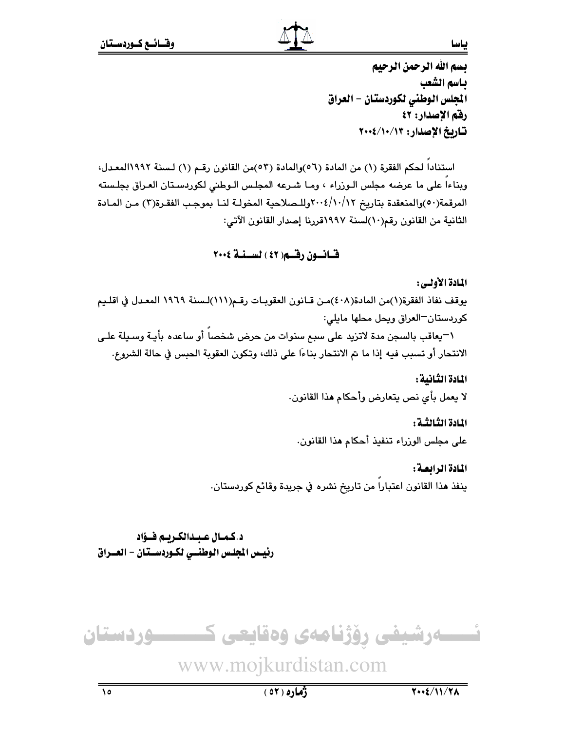تسم الله الرحمن الرحيم بـاسم الشعب المجلس الوطني لكوردستان – العراق رفق الإصدار: ٤٢ تاريخ الإصدار: ١٢/١٠/١٠>٢٠٠

استنادا لحكم الفقرة (١) من المادة (٥٦)والمادة (٥٣)من القانون رقم (١) لسنة ١٩٩٢المعدل، وبناءاً على ما عرضه مجلس الـوزراء ، ومـا شـرعه المجلـس الـوطني لكوردسـتان العـراق بجلـسته المرقمة(٥٠)والمنعقدة بتاريخ ٢٠٠٤/١٠/١٢وللـصلاحية المخولـة لنــا بموجب الفقـرة(٣) مـن المـادة الثانية من القانون رقم(١٠)لسنة ١٩٩٧قررنا إصدار القانون الآتي:

### قسانسون رقسم( ٤٢ ) لسسنسة ٢٠٠٤

#### المادة الأولى:

يوقف نفاذ الفقرة(١)من المادة(٤٠٨)مـن قـانون العقوبـات رقـم(١١١)لـسنة ١٩٦٩ المعـدل في اقلـيم كوردستان-العراق ويحل محلها مايلي:

١-يعاقب بالسجن مدة لاتزيد على سبع سنوات من حرض شخصاً أو ساعده بأيـة وسـيلة علـى الانتحار أو تسبب فيه إذا ما تم الانتحار بناءًا على ذلك، وتكون العقوبة الحبس في حالة الشروع.

المادة الثانية :

لا يعمل بأي نص يتعارض وأحكام هذا القانون.

المادة الثالثية :

على مجلس الوزراء تنفيذ أحكام هذا القانون.

المادة الرابعة : ينفذ هذا القانون اعتبارا من تاريخ نشره في جريدة وقائع كوردستان.

د.كمـال عـبـدالكـريـم فــؤاد رئيس الجلس الوطنسي لكـوردســتان – العــراق



 $(01)$ 0)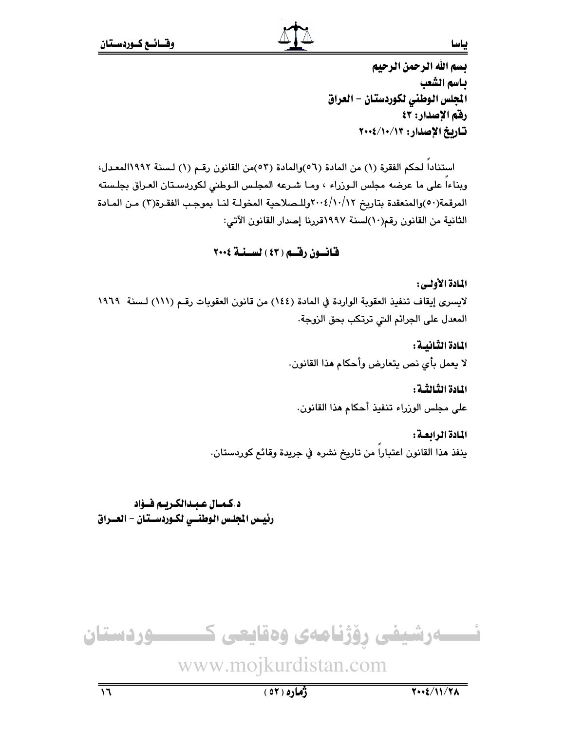تسم الله الرحمن الرحيم بـاسم الشعب المجلس الوطني لكوردستان - العراق رقم الإصدار: ٤٣ تاريخ الإصدار: ١٢/١٠/١٠/٢٠٠٤

استناداً لحكم الفقرة (١) من المادة (٥٦)والمادة (٥٣)من القانون رقم (١) لسنة ١٩٩٢المعـدل، وبناءاً على ما عرضه مجلس الـوزراء ، ومـا شـرعه المجلـس الـوطني لكوردسـتان العـراق بجلـسته المرقمة(٥٠)والمنعقدة بتاريخ ٢٠٠٤/١٠/١٢وللـصلاحية المخولـة لنــا بموجب الفقـرة(٣) مـن المـادة الثانية من القانون رقم(١٠)لسنة ١٩٩٧قررنا إصدار القانون الآتي:

### قانسون رقسم (٤٣) لسسنة ٢٠٠٤

#### المادة الأولى:

ياسا

لايسرى إيقاف تنفيذ العقوبة الواردة في المادة (١٤٤) من قانون العقوبات رقم (١١١) لسنة ١٩٦٩ المعدل على الجرائم التي ترتكب بحق الزوجة.

> المادة الثانيسة : لا يعمل بأى نص يتعارض وأحكام هذا القانون.

المادة الثالثية : على مجلس الوزراء تنفيذ أحكام هذا القانون.

المادة الرابعة : ينفذ هذا القانون اعتبارا من تاريخ نشره في جريدة وقائع كوردستان.

د.كمال عبدالكريم فؤاد رئيس الجلس الوطنسي لكـوردسـتان - العـراق

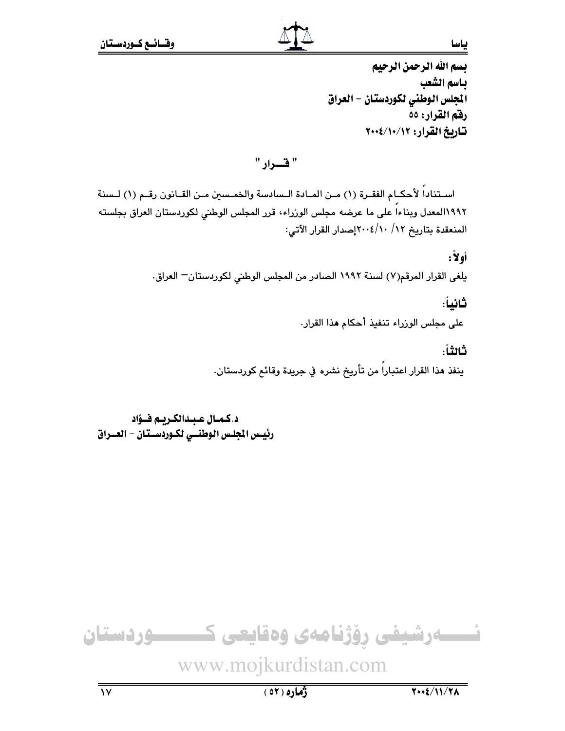تسم الله الرحمن الرحيم باسم الشعب المجلس الوطني لكوردستان - العراق رفقم القرار: ٥٥ تاريخ القرار: ١٢/١٠/١٠/

" قسرار "

اسـتناداً لأحكـام الفقـرة (١) مـن المـادة الـسادسة والخمـسين مـن القـانون رقـم (١) لـسنة ١١٩٩٢المعدل وبناءاً على ما عرضه مجلس الوزراء، قرر المجلس الوطني لكوردستان العراق بجلسته المنعقدة بتاريخ ١٢/ ٢٠٠٤/١٠٧إصدار القرار الآتي:

أولاً:

يلغي القرار المرقم(٧) لسنة ١٩٩٢ الصادر من المجلس الوطني لكوردستان– العراق.

ثانياً:

على مجلس الوزراء تنفيذ أحكام هذا القرار.

ثالثاً:

ينفذ هذا القرار اعتباراً من تأريخ نشره في جريدة وقائع كوردستان.

د.كمـال عبـدالكـريـم فـؤاد رئيس الجلس الوطنسي لكـوردسـتان - العــراق